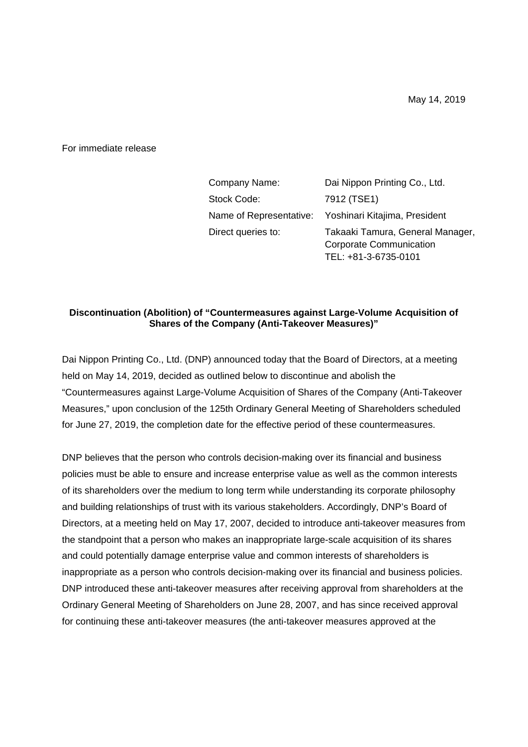For immediate release

| Company Name:      | Dai Nippon Printing Co., Ltd.                                                              |
|--------------------|--------------------------------------------------------------------------------------------|
| Stock Code:        | 7912 (TSE1)                                                                                |
|                    | Name of Representative: Yoshinari Kitajima, President                                      |
| Direct queries to: | Takaaki Tamura, General Manager,<br><b>Corporate Communication</b><br>TEL: +81-3-6735-0101 |

## **Discontinuation (Abolition) of "Countermeasures against Large-Volume Acquisition of Shares of the Company (Anti-Takeover Measures)"**

Dai Nippon Printing Co., Ltd. (DNP) announced today that the Board of Directors, at a meeting held on May 14, 2019, decided as outlined below to discontinue and abolish the "Countermeasures against Large-Volume Acquisition of Shares of the Company (Anti-Takeover Measures," upon conclusion of the 125th Ordinary General Meeting of Shareholders scheduled for June 27, 2019, the completion date for the effective period of these countermeasures.

DNP believes that the person who controls decision-making over its financial and business policies must be able to ensure and increase enterprise value as well as the common interests of its shareholders over the medium to long term while understanding its corporate philosophy and building relationships of trust with its various stakeholders. Accordingly, DNP's Board of Directors, at a meeting held on May 17, 2007, decided to introduce anti-takeover measures from the standpoint that a person who makes an inappropriate large-scale acquisition of its shares and could potentially damage enterprise value and common interests of shareholders is inappropriate as a person who controls decision-making over its financial and business policies. DNP introduced these anti-takeover measures after receiving approval from shareholders at the Ordinary General Meeting of Shareholders on June 28, 2007, and has since received approval for continuing these anti-takeover measures (the anti-takeover measures approved at the